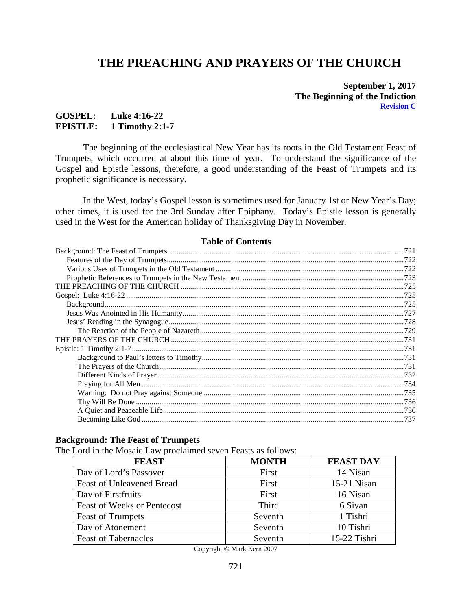# **THE PREACHING AND PRAYERS OF THE CHURCH**

#### **September 1, 2017 The Beginning of the Indiction Revision C**

## **GOSPEL: Luke 4:16-22 EPISTLE: 1 Timothy 2:1-7**

The beginning of the ecclesiastical New Year has its roots in the Old Testament Feast of Trumpets, which occurred at about this time of year. To understand the significance of the Gospel and Epistle lessons, therefore, a good understanding of the Feast of Trumpets and its prophetic significance is necessary.

In the West, today's Gospel lesson is sometimes used for January 1st or New Year's Day; other times, it is used for the 3rd Sunday after Epiphany. Today's Epistle lesson is generally used in the West for the American holiday of Thanksgiving Day in November.

## **Table of Contents**

#### <span id="page-0-0"></span>**Background: The Feast of Trumpets**

The Lord in the Mosaic Law proclaimed seven Feasts as follows:

| <b>FEAST</b>                       | <b>MONTH</b> | <b>FEAST DAY</b> |
|------------------------------------|--------------|------------------|
| Day of Lord's Passover             | First        | 14 Nisan         |
| Feast of Unleavened Bread          | First        | $15-21$ Nisan    |
| Day of Firstfruits                 | First        | 16 Nisan         |
| <b>Feast of Weeks or Pentecost</b> | Third        | 6 Sivan          |
| <b>Feast of Trumpets</b>           | Seventh      | 1 Tishri         |
| Day of Atonement                   | Seventh      | 10 Tishri        |
| <b>Feast of Tabernacles</b>        | Seventh      | 15-22 Tishri     |

Copyright © Mark Kern 2007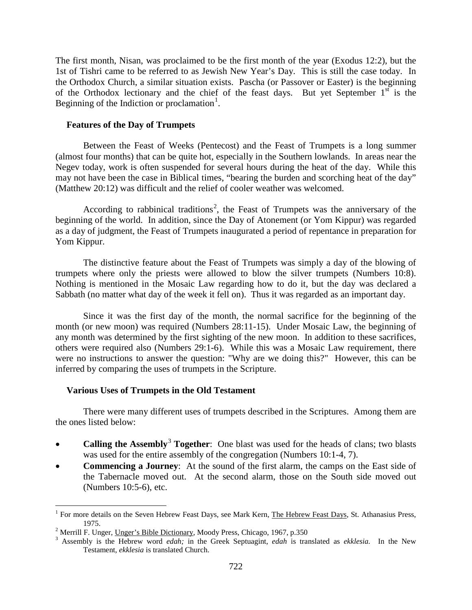The first month, Nisan, was proclaimed to be the first month of the year (Exodus 12:2), but the 1st of Tishri came to be referred to as Jewish New Year's Day. This is still the case today. In the Orthodox Church, a similar situation exists. Pascha (or Passover or Easter) is the beginning of the Orthodox lectionary and the chief of the feast days. But yet September  $1<sup>st</sup>$  is the Beginning of the Indiction or proclamation<sup>[1](#page-1-2)</sup>.

#### <span id="page-1-0"></span>**Features of the Day of Trumpets**

Between the Feast of Weeks (Pentecost) and the Feast of Trumpets is a long summer (almost four months) that can be quite hot, especially in the Southern lowlands. In areas near the Negev today, work is often suspended for several hours during the heat of the day. While this may not have been the case in Biblical times, "bearing the burden and scorching heat of the day" (Matthew 20:12) was difficult and the relief of cooler weather was welcomed.

According to rabbinical traditions<sup>[2](#page-1-3)</sup>, the Feast of Trumpets was the anniversary of the beginning of the world. In addition, since the Day of Atonement (or Yom Kippur) was regarded as a day of judgment, the Feast of Trumpets inaugurated a period of repentance in preparation for Yom Kippur.

The distinctive feature about the Feast of Trumpets was simply a day of the blowing of trumpets where only the priests were allowed to blow the silver trumpets (Numbers 10:8). Nothing is mentioned in the Mosaic Law regarding how to do it, but the day was declared a Sabbath (no matter what day of the week it fell on). Thus it was regarded as an important day.

Since it was the first day of the month, the normal sacrifice for the beginning of the month (or new moon) was required (Numbers 28:11-15). Under Mosaic Law, the beginning of any month was determined by the first sighting of the new moon. In addition to these sacrifices, others were required also (Numbers 29:1-6). While this was a Mosaic Law requirement, there were no instructions to answer the question: "Why are we doing this?" However, this can be inferred by comparing the uses of trumpets in the Scripture.

#### <span id="page-1-1"></span>**Various Uses of Trumpets in the Old Testament**

There were many different uses of trumpets described in the Scriptures. Among them are the ones listed below:

- **Calling the Assembly<sup>[3](#page-1-4)</sup> Together**: One blast was used for the heads of clans; two blasts was used for the entire assembly of the congregation (Numbers 10:1-4, 7).
- **Commencing a Journey**: At the sound of the first alarm, the camps on the East side of the Tabernacle moved out. At the second alarm, those on the South side moved out (Numbers 10:5-6), etc.

<span id="page-1-2"></span><sup>&</sup>lt;sup>1</sup> For more details on the Seven Hebrew Feast Days, see Mark Kern, The Hebrew Feast Days, St. Athanasius Press, 1975. <sup>2</sup> Merrill F. Unger, Unger's Bible Dictionary, Moody Press, Chicago, 1967, p.350 <sup>3</sup> Assembly is the Hebrew word *edah;* in the Greek Septuagint, *edah* is translated as *ekklesia.* In the New

<span id="page-1-4"></span><span id="page-1-3"></span>

Testament, *ekklesia* is translated Church.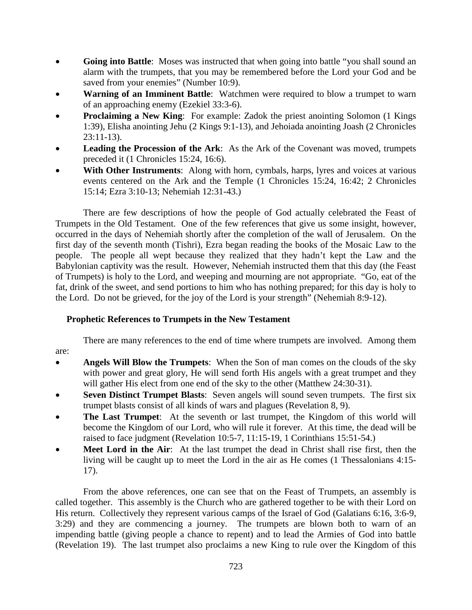- **Going into Battle:** Moses was instructed that when going into battle "you shall sound an alarm with the trumpets, that you may be remembered before the Lord your God and be saved from your enemies" (Number 10:9).
- **Warning of an Imminent Battle**: Watchmen were required to blow a trumpet to warn of an approaching enemy (Ezekiel 33:3-6).
- **Proclaiming a New King:** For example: Zadok the priest anointing Solomon (1 Kings) 1:39), Elisha anointing Jehu (2 Kings 9:1-13), and Jehoiada anointing Joash (2 Chronicles 23:11-13).
- **Leading the Procession of the Ark**: As the Ark of the Covenant was moved, trumpets preceded it (1 Chronicles 15:24, 16:6).
- **With Other Instruments:** Along with horn, cymbals, harps, lyres and voices at various events centered on the Ark and the Temple (1 Chronicles 15:24, 16:42; 2 Chronicles 15:14; Ezra 3:10-13; Nehemiah 12:31-43.)

There are few descriptions of how the people of God actually celebrated the Feast of Trumpets in the Old Testament. One of the few references that give us some insight, however, occurred in the days of Nehemiah shortly after the completion of the wall of Jerusalem. On the first day of the seventh month (Tishri), Ezra began reading the books of the Mosaic Law to the people. The people all wept because they realized that they hadn't kept the Law and the Babylonian captivity was the result. However, Nehemiah instructed them that this day (the Feast of Trumpets) is holy to the Lord, and weeping and mourning are not appropriate. "Go, eat of the fat, drink of the sweet, and send portions to him who has nothing prepared; for this day is holy to the Lord. Do not be grieved, for the joy of the Lord is your strength" (Nehemiah 8:9-12).

# <span id="page-2-0"></span>**Prophetic References to Trumpets in the New Testament**

There are many references to the end of time where trumpets are involved. Among them are:

- **Angels Will Blow the Trumpets**: When the Son of man comes on the clouds of the sky with power and great glory, He will send forth His angels with a great trumpet and they will gather His elect from one end of the sky to the other (Matthew 24:30-31).
- **Seven Distinct Trumpet Blasts:** Seven angels will sound seven trumpets. The first six trumpet blasts consist of all kinds of wars and plagues (Revelation 8, 9).
- **The Last Trumpet:** At the seventh or last trumpet, the Kingdom of this world will become the Kingdom of our Lord, who will rule it forever. At this time, the dead will be raised to face judgment (Revelation 10:5-7, 11:15-19, 1 Corinthians 15:51-54.)
- Meet Lord in the Air: At the last trumpet the dead in Christ shall rise first, then the living will be caught up to meet the Lord in the air as He comes (1 Thessalonians 4:15- 17).

From the above references, one can see that on the Feast of Trumpets, an assembly is called together. This assembly is the Church who are gathered together to be with their Lord on His return. Collectively they represent various camps of the Israel of God (Galatians 6:16, 3:6-9, 3:29) and they are commencing a journey. The trumpets are blown both to warn of an impending battle (giving people a chance to repent) and to lead the Armies of God into battle (Revelation 19). The last trumpet also proclaims a new King to rule over the Kingdom of this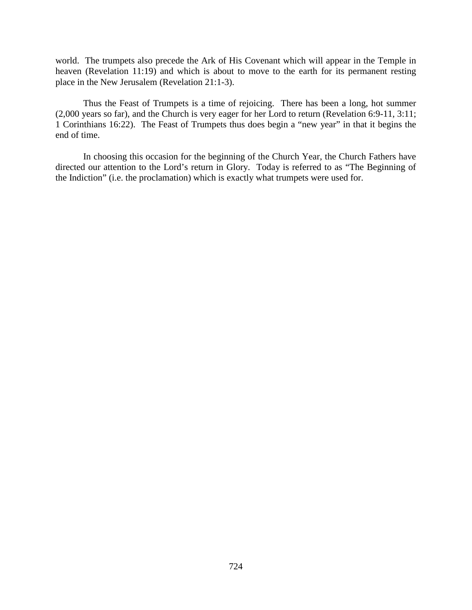world. The trumpets also precede the Ark of His Covenant which will appear in the Temple in heaven (Revelation 11:19) and which is about to move to the earth for its permanent resting place in the New Jerusalem (Revelation 21:1-3).

Thus the Feast of Trumpets is a time of rejoicing. There has been a long, hot summer (2,000 years so far), and the Church is very eager for her Lord to return (Revelation 6:9-11, 3:11; 1 Corinthians 16:22). The Feast of Trumpets thus does begin a "new year" in that it begins the end of time.

In choosing this occasion for the beginning of the Church Year, the Church Fathers have directed our attention to the Lord's return in Glory. Today is referred to as "The Beginning of the Indiction" (i.e. the proclamation) which is exactly what trumpets were used for.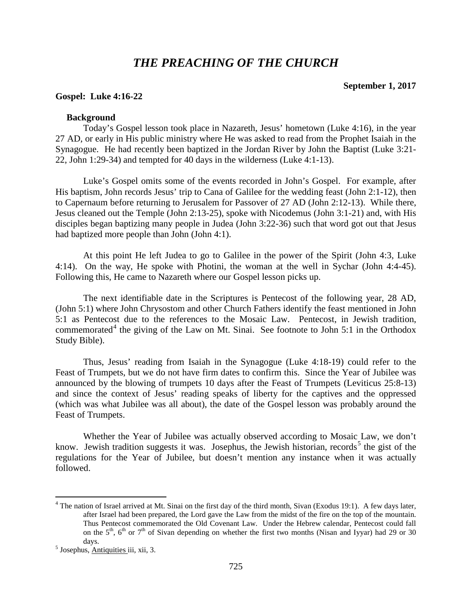# *THE PREACHING OF THE CHURCH*

#### **September 1, 2017**

#### <span id="page-4-1"></span><span id="page-4-0"></span>**Gospel: Luke 4:16-22**

#### **Background**

<span id="page-4-2"></span>Today's Gospel lesson took place in Nazareth, Jesus' hometown (Luke 4:16), in the year 27 AD, or early in His public ministry where He was asked to read from the Prophet Isaiah in the Synagogue. He had recently been baptized in the Jordan River by John the Baptist (Luke 3:21- 22, John 1:29-34) and tempted for 40 days in the wilderness (Luke 4:1-13).

Luke's Gospel omits some of the events recorded in John's Gospel. For example, after His baptism, John records Jesus' trip to Cana of Galilee for the wedding feast (John 2:1-12), then to Capernaum before returning to Jerusalem for Passover of 27 AD (John 2:12-13). While there, Jesus cleaned out the Temple (John 2:13-25), spoke with Nicodemus (John 3:1-21) and, with His disciples began baptizing many people in Judea (John 3:22-36) such that word got out that Jesus had baptized more people than John (John 4:1).

At this point He left Judea to go to Galilee in the power of the Spirit (John 4:3, Luke 4:14). On the way, He spoke with Photini, the woman at the well in Sychar (John 4:4-45). Following this, He came to Nazareth where our Gospel lesson picks up.

The next identifiable date in the Scriptures is Pentecost of the following year, 28 AD, (John 5:1) where John Chrysostom and other Church Fathers identify the feast mentioned in John 5:1 as Pentecost due to the references to the Mosaic Law. Pentecost, in Jewish tradition, commemorated<sup>[4](#page-4-3)</sup> the giving of the Law on Mt. Sinai. See footnote to John 5:1 in the Orthodox Study Bible).

Thus, Jesus' reading from Isaiah in the Synagogue (Luke 4:18-19) could refer to the Feast of Trumpets, but we do not have firm dates to confirm this. Since the Year of Jubilee was announced by the blowing of trumpets 10 days after the Feast of Trumpets (Leviticus 25:8-13) and since the context of Jesus' reading speaks of liberty for the captives and the oppressed (which was what Jubilee was all about), the date of the Gospel lesson was probably around the Feast of Trumpets.

Whether the Year of Jubilee was actually observed according to Mosaic Law, we don't know. Jewish tradition suggests it was. Josephus, the Jewish historian, records<sup>[5](#page-4-4)</sup> the gist of the regulations for the Year of Jubilee, but doesn't mention any instance when it was actually followed.

<span id="page-4-3"></span> $4$  The nation of Israel arrived at Mt. Sinai on the first day of the third month, Sivan (Exodus 19:1). A few days later, after Israel had been prepared, the Lord gave the Law from the midst of the fire on the top of the mountain. Thus Pentecost commemorated the Old Covenant Law. Under the Hebrew calendar, Pentecost could fall on the  $5<sup>th</sup>$ ,  $6<sup>th</sup>$  or  $7<sup>th</sup>$  of Sivan depending on whether the first two months (Nisan and Iyyar) had 29 or 30 days.<br><sup>5</sup> Josephus, <u>Antiquities</u> iii, xii, 3.

<span id="page-4-4"></span>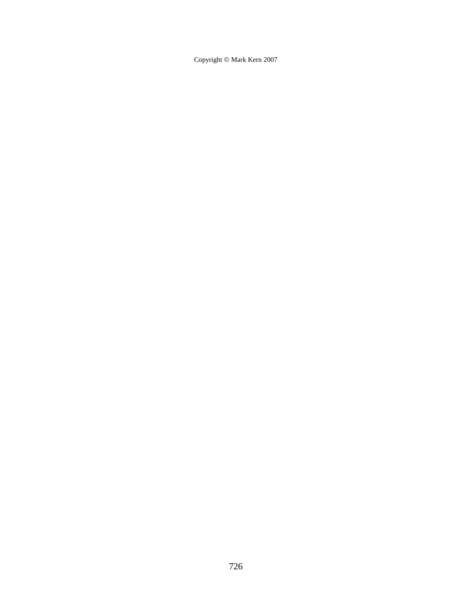Copyright © Mark Kern 2007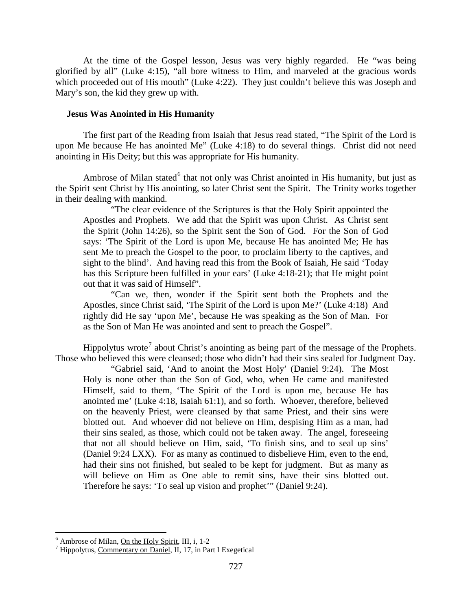At the time of the Gospel lesson, Jesus was very highly regarded. He "was being glorified by all" (Luke 4:15), "all bore witness to Him, and marveled at the gracious words which proceeded out of His mouth" (Luke 4:22). They just couldn't believe this was Joseph and Mary's son, the kid they grew up with.

### <span id="page-6-0"></span>**Jesus Was Anointed in His Humanity**

The first part of the Reading from Isaiah that Jesus read stated, "The Spirit of the Lord is upon Me because He has anointed Me" (Luke 4:18) to do several things. Christ did not need anointing in His Deity; but this was appropriate for His humanity.

Ambrose of Milan stated<sup>[6](#page-6-1)</sup> that not only was Christ anointed in His humanity, but just as the Spirit sent Christ by His anointing, so later Christ sent the Spirit. The Trinity works together in their dealing with mankind.

"The clear evidence of the Scriptures is that the Holy Spirit appointed the Apostles and Prophets. We add that the Spirit was upon Christ. As Christ sent the Spirit (John 14:26), so the Spirit sent the Son of God. For the Son of God says: 'The Spirit of the Lord is upon Me, because He has anointed Me; He has sent Me to preach the Gospel to the poor, to proclaim liberty to the captives, and sight to the blind'. And having read this from the Book of Isaiah, He said 'Today has this Scripture been fulfilled in your ears' (Luke 4:18-21); that He might point out that it was said of Himself".

"Can we, then, wonder if the Spirit sent both the Prophets and the Apostles, since Christ said, 'The Spirit of the Lord is upon Me?' (Luke 4:18) And rightly did He say 'upon Me', because He was speaking as the Son of Man. For as the Son of Man He was anointed and sent to preach the Gospel".

Hippolytus wrote<sup>[7](#page-6-2)</sup> about Christ's anointing as being part of the message of the Prophets. Those who believed this were cleansed; those who didn't had their sins sealed for Judgment Day.

"Gabriel said, 'And to anoint the Most Holy' (Daniel 9:24). The Most Holy is none other than the Son of God, who, when He came and manifested Himself, said to them, 'The Spirit of the Lord is upon me, because He has anointed me' (Luke 4:18, Isaiah 61:1), and so forth. Whoever, therefore, believed on the heavenly Priest, were cleansed by that same Priest, and their sins were blotted out. And whoever did not believe on Him, despising Him as a man, had their sins sealed, as those, which could not be taken away. The angel, foreseeing that not all should believe on Him, said, 'To finish sins, and to seal up sins' (Daniel 9:24 LXX). For as many as continued to disbelieve Him, even to the end, had their sins not finished, but sealed to be kept for judgment. But as many as will believe on Him as One able to remit sins, have their sins blotted out. Therefore he says: 'To seal up vision and prophet'" (Daniel 9:24).

<span id="page-6-2"></span><span id="page-6-1"></span><sup>&</sup>lt;sup>6</sup> Ambrose of Milan, <u>On the Holy Spirit</u>, III, i, 1-2<br><sup>7</sup> Hippolytus, Commentary on Daniel, II, 17, in Part I Exegetical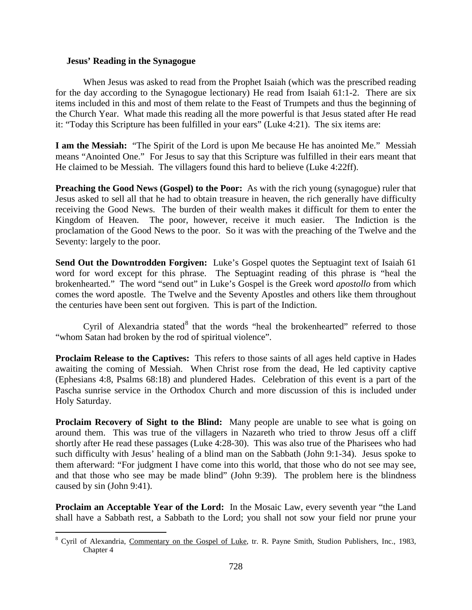## <span id="page-7-0"></span>**Jesus' Reading in the Synagogue**

When Jesus was asked to read from the Prophet Isaiah (which was the prescribed reading for the day according to the Synagogue lectionary) He read from Isaiah 61:1-2. There are six items included in this and most of them relate to the Feast of Trumpets and thus the beginning of the Church Year. What made this reading all the more powerful is that Jesus stated after He read it: "Today this Scripture has been fulfilled in your ears" (Luke 4:21). The six items are:

**I am the Messiah:** "The Spirit of the Lord is upon Me because He has anointed Me." Messiah means "Anointed One." For Jesus to say that this Scripture was fulfilled in their ears meant that He claimed to be Messiah. The villagers found this hard to believe (Luke 4:22ff).

**Preaching the Good News (Gospel) to the Poor:** As with the rich young (synagogue) ruler that Jesus asked to sell all that he had to obtain treasure in heaven, the rich generally have difficulty receiving the Good News. The burden of their wealth makes it difficult for them to enter the Kingdom of Heaven. The poor, however, receive it much easier. The Indiction is the proclamation of the Good News to the poor. So it was with the preaching of the Twelve and the Seventy: largely to the poor.

**Send Out the Downtrodden Forgiven:** Luke's Gospel quotes the Septuagint text of Isaiah 61 word for word except for this phrase. The Septuagint reading of this phrase is "heal the brokenhearted." The word "send out" in Luke's Gospel is the Greek word *apostollo* from which comes the word apostle. The Twelve and the Seventy Apostles and others like them throughout the centuries have been sent out forgiven. This is part of the Indiction.

Cyril of Alexandria stated $8$  that the words "heal the brokenhearted" referred to those "whom Satan had broken by the rod of spiritual violence".

**Proclaim Release to the Captives:** This refers to those saints of all ages held captive in Hades awaiting the coming of Messiah. When Christ rose from the dead, He led captivity captive (Ephesians 4:8, Psalms 68:18) and plundered Hades. Celebration of this event is a part of the Pascha sunrise service in the Orthodox Church and more discussion of this is included under Holy Saturday.

**Proclaim Recovery of Sight to the Blind:** Many people are unable to see what is going on around them. This was true of the villagers in Nazareth who tried to throw Jesus off a cliff shortly after He read these passages (Luke 4:28-30). This was also true of the Pharisees who had such difficulty with Jesus' healing of a blind man on the Sabbath (John 9:1-34). Jesus spoke to them afterward: "For judgment I have come into this world, that those who do not see may see, and that those who see may be made blind" (John 9:39). The problem here is the blindness caused by sin (John 9:41).

**Proclaim an Acceptable Year of the Lord:** In the Mosaic Law, every seventh year "the Land shall have a Sabbath rest, a Sabbath to the Lord; you shall not sow your field nor prune your

<span id="page-7-1"></span><sup>&</sup>lt;sup>8</sup> Cyril of Alexandria, Commentary on the Gospel of Luke, tr. R. Payne Smith, Studion Publishers, Inc., 1983, Chapter 4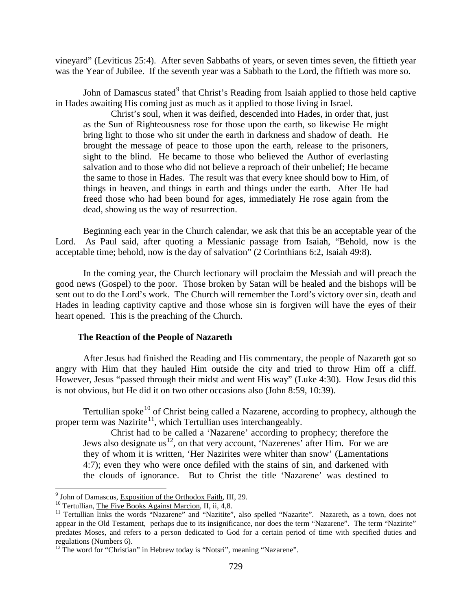vineyard" (Leviticus 25:4). After seven Sabbaths of years, or seven times seven, the fiftieth year was the Year of Jubilee. If the seventh year was a Sabbath to the Lord, the fiftieth was more so.

John of Damascus stated<sup>[9](#page-8-1)</sup> that Christ's Reading from Isaiah applied to those held captive in Hades awaiting His coming just as much as it applied to those living in Israel.

Christ's soul, when it was deified, descended into Hades, in order that, just as the Sun of Righteousness rose for those upon the earth, so likewise He might bring light to those who sit under the earth in darkness and shadow of death. He brought the message of peace to those upon the earth, release to the prisoners, sight to the blind. He became to those who believed the Author of everlasting salvation and to those who did not believe a reproach of their unbelief; He became the same to those in Hades. The result was that every knee should bow to Him, of things in heaven, and things in earth and things under the earth. After He had freed those who had been bound for ages, immediately He rose again from the dead, showing us the way of resurrection.

Beginning each year in the Church calendar, we ask that this be an acceptable year of the Lord. As Paul said, after quoting a Messianic passage from Isaiah, "Behold, now is the acceptable time; behold, now is the day of salvation" (2 Corinthians 6:2, Isaiah 49:8).

In the coming year, the Church lectionary will proclaim the Messiah and will preach the good news (Gospel) to the poor. Those broken by Satan will be healed and the bishops will be sent out to do the Lord's work. The Church will remember the Lord's victory over sin, death and Hades in leading captivity captive and those whose sin is forgiven will have the eyes of their heart opened. This is the preaching of the Church.

#### **The Reaction of the People of Nazareth**

<span id="page-8-0"></span>After Jesus had finished the Reading and His commentary, the people of Nazareth got so angry with Him that they hauled Him outside the city and tried to throw Him off a cliff. However, Jesus "passed through their midst and went His way" (Luke 4:30). How Jesus did this is not obvious, but He did it on two other occasions also (John 8:59, 10:39).

Tertullian spoke<sup>[10](#page-8-2)</sup> of Christ being called a Nazarene, according to prophecy, although the proper term was Nazirite<sup>[11](#page-8-3)</sup>, which Tertullian uses interchangeably.

Christ had to be called a 'Nazarene' according to prophecy; therefore the Jews also designate us<sup>12</sup>, on that very account, 'Nazerenes' after Him. For we are they of whom it is written, 'Her Nazirites were whiter than snow' (Lamentations 4:7); even they who were once defiled with the stains of sin, and darkened with the clouds of ignorance. But to Christ the title 'Nazarene' was destined to

<span id="page-8-3"></span><span id="page-8-2"></span>

<span id="page-8-1"></span><sup>&</sup>lt;sup>9</sup> John of Damascus, Exposition of the Orthodox Faith, III, 29.<br><sup>10</sup> Tertullian, <u>The Five Books Against Marcion</u>, II, ii, 4,8.<br><sup>11</sup> Tertullian links the words "Nazarene" and "Nazitite", also spelled "Nazarite". Nazareth appear in the Old Testament, perhaps due to its insignificance, nor does the term "Nazarene". The term "Nazirite" predates Moses, and refers to a person dedicated to God for a certain period of time with specified duties and regulations (Numbers 6).

<span id="page-8-4"></span> $12$  The word for "Christian" in Hebrew today is "Notsri", meaning "Nazarene".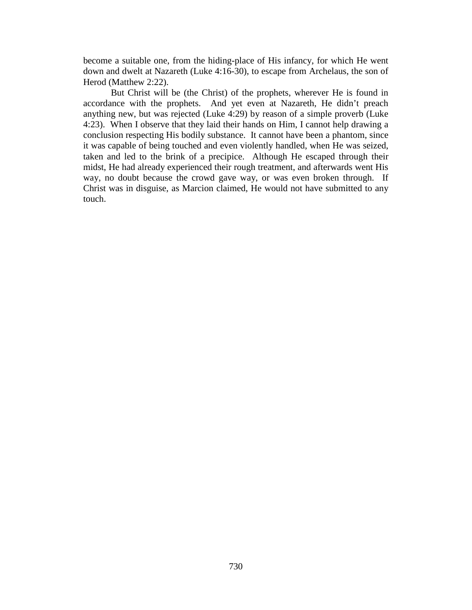become a suitable one, from the hiding-place of His infancy, for which He went down and dwelt at Nazareth (Luke 4:16-30), to escape from Archelaus, the son of Herod (Matthew 2:22).

But Christ will be (the Christ) of the prophets, wherever He is found in accordance with the prophets. And yet even at Nazareth, He didn't preach anything new, but was rejected (Luke 4:29) by reason of a simple proverb (Luke 4:23). When I observe that they laid their hands on Him, I cannot help drawing a conclusion respecting His bodily substance. It cannot have been a phantom, since it was capable of being touched and even violently handled, when He was seized, taken and led to the brink of a precipice. Although He escaped through their midst, He had already experienced their rough treatment, and afterwards went His way, no doubt because the crowd gave way, or was even broken through. If Christ was in disguise, as Marcion claimed, He would not have submitted to any touch.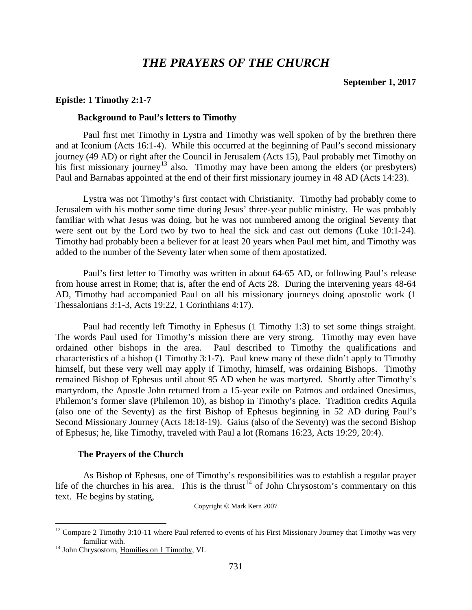# *THE PRAYERS OF THE CHURCH*

#### <span id="page-10-2"></span><span id="page-10-1"></span><span id="page-10-0"></span>**Epistle: 1 Timothy 2:1-7**

#### **Background to Paul's letters to Timothy**

Paul first met Timothy in Lystra and Timothy was well spoken of by the brethren there and at Iconium (Acts 16:1-4). While this occurred at the beginning of Paul's second missionary journey (49 AD) or right after the Council in Jerusalem (Acts 15), Paul probably met Timothy on his first missionary journey<sup>[13](#page-10-4)</sup> also. Timothy may have been among the elders (or presbyters) Paul and Barnabas appointed at the end of their first missionary journey in 48 AD (Acts 14:23).

Lystra was not Timothy's first contact with Christianity. Timothy had probably come to Jerusalem with his mother some time during Jesus' three-year public ministry. He was probably familiar with what Jesus was doing, but he was not numbered among the original Seventy that were sent out by the Lord two by two to heal the sick and cast out demons (Luke 10:1-24). Timothy had probably been a believer for at least 20 years when Paul met him, and Timothy was added to the number of the Seventy later when some of them apostatized.

Paul's first letter to Timothy was written in about 64-65 AD, or following Paul's release from house arrest in Rome; that is, after the end of Acts 28. During the intervening years 48-64 AD, Timothy had accompanied Paul on all his missionary journeys doing apostolic work (1 Thessalonians 3:1-3, Acts 19:22, 1 Corinthians 4:17).

Paul had recently left Timothy in Ephesus (1 Timothy 1:3) to set some things straight. The words Paul used for Timothy's mission there are very strong. Timothy may even have ordained other bishops in the area. Paul described to Timothy the qualifications and characteristics of a bishop (1 Timothy 3:1-7). Paul knew many of these didn't apply to Timothy himself, but these very well may apply if Timothy, himself, was ordaining Bishops. Timothy remained Bishop of Ephesus until about 95 AD when he was martyred. Shortly after Timothy's martyrdom, the Apostle John returned from a 15-year exile on Patmos and ordained Onesimus, Philemon's former slave (Philemon 10), as bishop in Timothy's place. Tradition credits Aquila (also one of the Seventy) as the first Bishop of Ephesus beginning in 52 AD during Paul's Second Missionary Journey (Acts 18:18-19). Gaius (also of the Seventy) was the second Bishop of Ephesus; he, like Timothy, traveled with Paul a lot (Romans 16:23, Acts 19:29, 20:4).

#### **The Prayers of the Church**

<span id="page-10-3"></span>As Bishop of Ephesus, one of Timothy's responsibilities was to establish a regular prayer life of the churches in his area. This is the thrust<sup>[14](#page-10-5)</sup> of John Chrysostom's commentary on this text. He begins by stating,

Copyright © Mark Kern 2007

<span id="page-10-4"></span> $13$  Compare 2 Timothy 3:10-11 where Paul referred to events of his First Missionary Journey that Timothy was very familiar with.<br><sup>14</sup> John Chrysostom, <u>Homilies on 1 Timothy</u>, VI.

<span id="page-10-5"></span>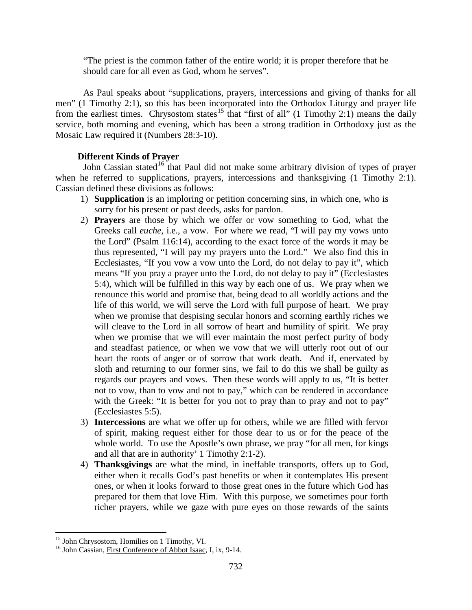"The priest is the common father of the entire world; it is proper therefore that he should care for all even as God, whom he serves".

As Paul speaks about "supplications, prayers, intercessions and giving of thanks for all men" (1 Timothy 2:1), so this has been incorporated into the Orthodox Liturgy and prayer life from the earliest times. Chrysostom states<sup>[15](#page-11-1)</sup> that "first of all" (1 Timothy 2:1) means the daily service, both morning and evening, which has been a strong tradition in Orthodoxy just as the Mosaic Law required it (Numbers 28:3-10).

# **Different Kinds of Prayer**

<span id="page-11-0"></span>John Cassian stated<sup>[16](#page-11-2)</sup> that Paul did not make some arbitrary division of types of prayer when he referred to supplications, prayers, intercessions and thanksgiving  $(1 \text{ Timothy } 2:1)$ . Cassian defined these divisions as follows:

- 1) **Supplication** is an imploring or petition concerning sins, in which one, who is sorry for his present or past deeds, asks for pardon.
- 2) **Prayers** are those by which we offer or vow something to God, what the Greeks call *euche*, i.e., a vow. For where we read, "I will pay my vows unto the Lord" (Psalm 116:14), according to the exact force of the words it may be thus represented, "I will pay my prayers unto the Lord." We also find this in Ecclesiastes, "If you vow a vow unto the Lord, do not delay to pay it", which means "If you pray a prayer unto the Lord, do not delay to pay it" (Ecclesiastes 5:4), which will be fulfilled in this way by each one of us. We pray when we renounce this world and promise that, being dead to all worldly actions and the life of this world, we will serve the Lord with full purpose of heart. We pray when we promise that despising secular honors and scorning earthly riches we will cleave to the Lord in all sorrow of heart and humility of spirit. We pray when we promise that we will ever maintain the most perfect purity of body and steadfast patience, or when we vow that we will utterly root out of our heart the roots of anger or of sorrow that work death. And if, enervated by sloth and returning to our former sins, we fail to do this we shall be guilty as regards our prayers and vows. Then these words will apply to us, "It is better not to vow, than to vow and not to pay," which can be rendered in accordance with the Greek: "It is better for you not to pray than to pray and not to pay" (Ecclesiastes 5:5).
- 3) **Intercessions** are what we offer up for others, while we are filled with fervor of spirit, making request either for those dear to us or for the peace of the whole world. To use the Apostle's own phrase, we pray "for all men, for kings and all that are in authority' 1 Timothy 2:1-2).
- 4) **Thanksgivings** are what the mind, in ineffable transports, offers up to God, either when it recalls God's past benefits or when it contemplates His present ones, or when it looks forward to those great ones in the future which God has prepared for them that love Him. With this purpose, we sometimes pour forth richer prayers, while we gaze with pure eyes on those rewards of the saints

<span id="page-11-2"></span><span id="page-11-1"></span><sup>&</sup>lt;sup>15</sup> John Chrysostom, Homilies on 1 Timothy, VI.<br><sup>16</sup> John Cassian, First Conference of Abbot Isaac, I, ix, 9-14.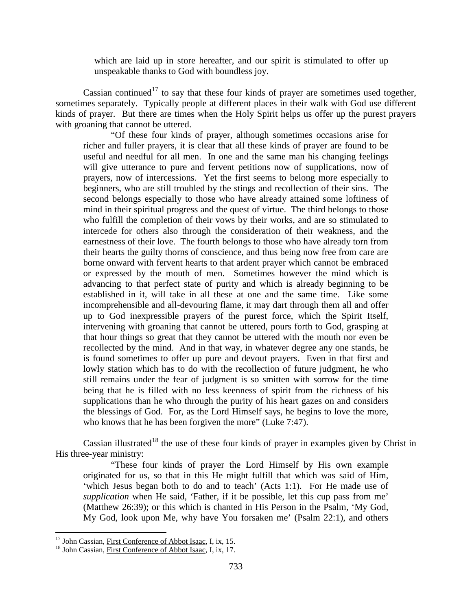which are laid up in store hereafter, and our spirit is stimulated to offer up unspeakable thanks to God with boundless joy.

Cassian continued<sup>[17](#page-12-0)</sup> to say that these four kinds of prayer are sometimes used together, sometimes separately. Typically people at different places in their walk with God use different kinds of prayer. But there are times when the Holy Spirit helps us offer up the purest prayers with groaning that cannot be uttered.

"Of these four kinds of prayer, although sometimes occasions arise for richer and fuller prayers, it is clear that all these kinds of prayer are found to be useful and needful for all men. In one and the same man his changing feelings will give utterance to pure and fervent petitions now of supplications, now of prayers, now of intercessions. Yet the first seems to belong more especially to beginners, who are still troubled by the stings and recollection of their sins. The second belongs especially to those who have already attained some loftiness of mind in their spiritual progress and the quest of virtue. The third belongs to those who fulfill the completion of their vows by their works, and are so stimulated to intercede for others also through the consideration of their weakness, and the earnestness of their love. The fourth belongs to those who have already torn from their hearts the guilty thorns of conscience, and thus being now free from care are borne onward with fervent hearts to that ardent prayer which cannot be embraced or expressed by the mouth of men. Sometimes however the mind which is advancing to that perfect state of purity and which is already beginning to be established in it, will take in all these at one and the same time. Like some incomprehensible and all-devouring flame, it may dart through them all and offer up to God inexpressible prayers of the purest force, which the Spirit Itself, intervening with groaning that cannot be uttered, pours forth to God, grasping at that hour things so great that they cannot be uttered with the mouth nor even be recollected by the mind. And in that way, in whatever degree any one stands, he is found sometimes to offer up pure and devout prayers. Even in that first and lowly station which has to do with the recollection of future judgment, he who still remains under the fear of judgment is so smitten with sorrow for the time being that he is filled with no less keenness of spirit from the richness of his supplications than he who through the purity of his heart gazes on and considers the blessings of God. For, as the Lord Himself says, he begins to love the more, who knows that he has been forgiven the more" (Luke 7:47).

Cassian illustrated<sup>[18](#page-12-1)</sup> the use of these four kinds of prayer in examples given by Christ in His three-year ministry:

"These four kinds of prayer the Lord Himself by His own example originated for us, so that in this He might fulfill that which was said of Him, 'which Jesus began both to do and to teach' (Acts 1:1). For He made use of *supplication* when He said, 'Father, if it be possible, let this cup pass from me' (Matthew 26:39); or this which is chanted in His Person in the Psalm, 'My God, My God, look upon Me, why have You forsaken me' (Psalm 22:1), and others

<span id="page-12-0"></span><sup>&</sup>lt;sup>17</sup> John Cassian, First Conference of Abbot Isaac, I, ix, 15. <sup>18</sup> John Cassian, First Conference of Abbot Isaac, I, ix, 17.

<span id="page-12-1"></span>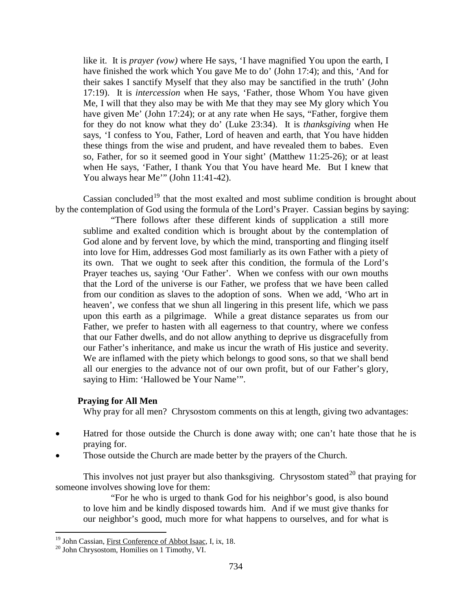like it. It is *prayer (vow)* where He says, 'I have magnified You upon the earth, I have finished the work which You gave Me to do' (John 17:4); and this, 'And for their sakes I sanctify Myself that they also may be sanctified in the truth' (John 17:19). It is *intercession* when He says, 'Father, those Whom You have given Me, I will that they also may be with Me that they may see My glory which You have given Me' (John 17:24); or at any rate when He says, "Father, forgive them for they do not know what they do' (Luke 23:34). It is *thanksgiving* when He says, 'I confess to You, Father, Lord of heaven and earth, that You have hidden these things from the wise and prudent, and have revealed them to babes. Even so, Father, for so it seemed good in Your sight' (Matthew 11:25-26); or at least when He says, 'Father, I thank You that You have heard Me. But I knew that You always hear Me" (John 11:41-42).

Cassian concluded<sup>[19](#page-13-1)</sup> that the most exalted and most sublime condition is brought about by the contemplation of God using the formula of the Lord's Prayer. Cassian begins by saying:

"There follows after these different kinds of supplication a still more sublime and exalted condition which is brought about by the contemplation of God alone and by fervent love, by which the mind, transporting and flinging itself into love for Him, addresses God most familiarly as its own Father with a piety of its own. That we ought to seek after this condition, the formula of the Lord's Prayer teaches us, saying 'Our Father'. When we confess with our own mouths that the Lord of the universe is our Father, we profess that we have been called from our condition as slaves to the adoption of sons. When we add, 'Who art in heaven', we confess that we shun all lingering in this present life, which we pass upon this earth as a pilgrimage. While a great distance separates us from our Father, we prefer to hasten with all eagerness to that country, where we confess that our Father dwells, and do not allow anything to deprive us disgracefully from our Father's inheritance, and make us incur the wrath of His justice and severity. We are inflamed with the piety which belongs to good sons, so that we shall bend all our energies to the advance not of our own profit, but of our Father's glory, saying to Him: 'Hallowed be Your Name'".

## <span id="page-13-0"></span>**Praying for All Men**

Why pray for all men? Chrysostom comments on this at length, giving two advantages:

- Hatred for those outside the Church is done away with; one can't hate those that he is praying for.
- Those outside the Church are made better by the prayers of the Church.

This involves not just prayer but also thanksgiving. Chrysostom stated<sup>[20](#page-13-2)</sup> that praying for someone involves showing love for them:

"For he who is urged to thank God for his neighbor's good, is also bound to love him and be kindly disposed towards him. And if we must give thanks for our neighbor's good, much more for what happens to ourselves, and for what is

<span id="page-13-1"></span><sup>&</sup>lt;sup>19</sup> John Cassian, <u>First Conference of Abbot Isaac</u>, I, ix, 18.  $^{20}$  John Chrysostom, Homilies on 1 Timothy, VI.

<span id="page-13-2"></span>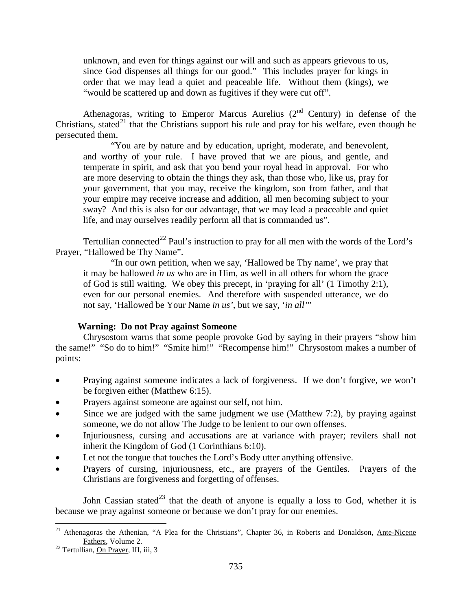unknown, and even for things against our will and such as appears grievous to us, since God dispenses all things for our good." This includes prayer for kings in order that we may lead a quiet and peaceable life. Without them (kings), we "would be scattered up and down as fugitives if they were cut off".

Athenagoras, writing to Emperor Marcus Aurelius  $(2<sup>nd</sup>$  Century) in defense of the Christians, stated<sup>[21](#page-14-1)</sup> that the Christians support his rule and pray for his welfare, even though he persecuted them.

"You are by nature and by education, upright, moderate, and benevolent, and worthy of your rule. I have proved that we are pious, and gentle, and temperate in spirit, and ask that you bend your royal head in approval. For who are more deserving to obtain the things they ask, than those who, like us, pray for your government, that you may, receive the kingdom, son from father, and that your empire may receive increase and addition, all men becoming subject to your sway? And this is also for our advantage, that we may lead a peaceable and quiet life, and may ourselves readily perform all that is commanded us".

Tertullian connected<sup>[22](#page-14-2)</sup> Paul's instruction to pray for all men with the words of the Lord's Prayer, "Hallowed be Thy Name".

"In our own petition, when we say, 'Hallowed be Thy name', we pray that it may be hallowed *in us* who are in Him, as well in all others for whom the grace of God is still waiting. We obey this precept, in 'praying for all' (1 Timothy 2:1), even for our personal enemies. And therefore with suspended utterance, we do not say, 'Hallowed be Your Name *in us'*, but we say, '*in all'*"

## **Warning: Do not Pray against Someone**

<span id="page-14-0"></span>Chrysostom warns that some people provoke God by saying in their prayers "show him the same!" "So do to him!" "Smite him!" "Recompense him!" Chrysostom makes a number of points:

- Praying against someone indicates a lack of forgiveness. If we don't forgive, we won't be forgiven either (Matthew 6:15).
- Prayers against someone are against our self, not him.
- Since we are judged with the same judgment we use (Matthew  $7:2$ ), by praying against someone, we do not allow The Judge to be lenient to our own offenses.
- Injuriousness, cursing and accusations are at variance with prayer; revilers shall not inherit the Kingdom of God (1 Corinthians 6:10).
- Let not the tongue that touches the Lord's Body utter anything offensive.
- Prayers of cursing, injuriousness, etc., are prayers of the Gentiles. Prayers of the Christians are forgiveness and forgetting of offenses.

John Cassian stated<sup>[23](#page-14-1)</sup> that the death of anyone is equally a loss to God, whether it is because we pray against someone or because we don't pray for our enemies.

<span id="page-14-1"></span><sup>&</sup>lt;sup>21</sup> Athenagoras the Athenian, "A Plea for the Christians", Chapter 36, in Roberts and Donaldson,  $\overline{\text{Ante-Nicene}}$  Fathers, Volume 2.

<span id="page-14-2"></span> $22$  Tertullian, On Prayer, III, iii, 3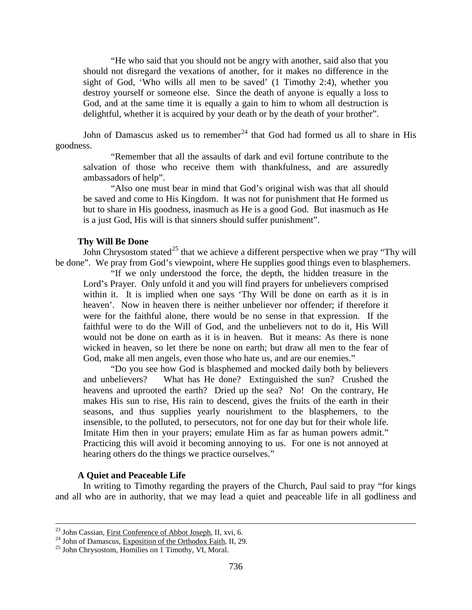"He who said that you should not be angry with another, said also that you should not disregard the vexations of another, for it makes no difference in the sight of God, 'Who wills all men to be saved' (1 Timothy 2:4), whether you destroy yourself or someone else. Since the death of anyone is equally a loss to God, and at the same time it is equally a gain to him to whom all destruction is delightful, whether it is acquired by your death or by the death of your brother".

John of Damascus asked us to remember<sup>[24](#page-15-2)</sup> that God had formed us all to share in His goodness.

"Remember that all the assaults of dark and evil fortune contribute to the salvation of those who receive them with thankfulness, and are assuredly ambassadors of help".

"Also one must bear in mind that God's original wish was that all should be saved and come to His Kingdom. It was not for punishment that He formed us but to share in His goodness, inasmuch as He is a good God. But inasmuch as He is a just God, His will is that sinners should suffer punishment".

### **Thy Will Be Done**

<span id="page-15-0"></span>John Chrysostom stated<sup>[25](#page-15-3)</sup> that we achieve a different perspective when we pray "Thy will be done". We pray from God's viewpoint, where He supplies good things even to blasphemers.

"If we only understood the force, the depth, the hidden treasure in the Lord's Prayer. Only unfold it and you will find prayers for unbelievers comprised within it. It is implied when one says 'Thy Will be done on earth as it is in heaven'. Now in heaven there is neither unbeliever nor offender; if therefore it were for the faithful alone, there would be no sense in that expression. If the faithful were to do the Will of God, and the unbelievers not to do it, His Will would not be done on earth as it is in heaven. But it means: As there is none wicked in heaven, so let there be none on earth; but draw all men to the fear of God, make all men angels, even those who hate us, and are our enemies."

"Do you see how God is blasphemed and mocked daily both by believers and unbelievers? What has He done? Extinguished the sun? Crushed the heavens and uprooted the earth? Dried up the sea? No! On the contrary, He makes His sun to rise, His rain to descend, gives the fruits of the earth in their seasons, and thus supplies yearly nourishment to the blasphemers, to the insensible, to the polluted, to persecutors, not for one day but for their whole life. Imitate Him then in your prayers; emulate Him as far as human powers admit." Practicing this will avoid it becoming annoying to us. For one is not annoyed at hearing others do the things we practice ourselves."

## **A Quiet and Peaceable Life**

<span id="page-15-1"></span>In writing to Timothy regarding the prayers of the Church, Paul said to pray "for kings and all who are in authority, that we may lead a quiet and peaceable life in all godliness and

<span id="page-15-2"></span><sup>&</sup>lt;sup>23</sup> John Cassian, <u>First Conference of Abbot Joseph</u>, II, xvi, 6.<br><sup>24</sup> John of Damascus, <u>Exposition of the Orthodox Faith</u>, II, 29.<br><sup>25</sup> John Chrysostom, Homilies on 1 Timothy, VI, Moral.

<span id="page-15-3"></span>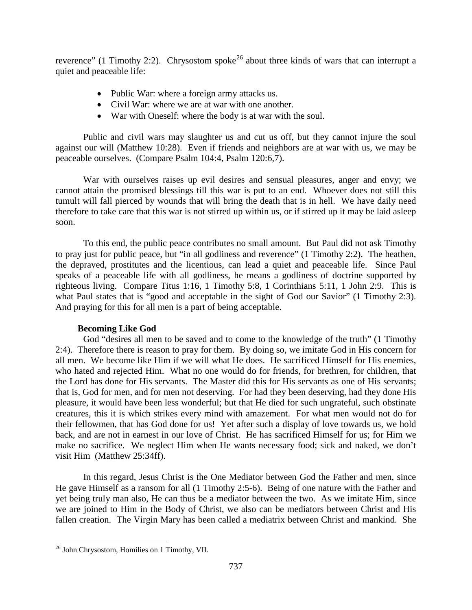reverence" (1 Timothy 2:2). Chrysostom spoke<sup>[26](#page-16-1)</sup> about three kinds of wars that can interrupt a quiet and peaceable life:

- Public War: where a foreign army attacks us.
- Civil War: where we are at war with one another.
- War with Oneself: where the body is at war with the soul.

Public and civil wars may slaughter us and cut us off, but they cannot injure the soul against our will (Matthew 10:28). Even if friends and neighbors are at war with us, we may be peaceable ourselves. (Compare Psalm 104:4, Psalm 120:6,7).

War with ourselves raises up evil desires and sensual pleasures, anger and envy; we cannot attain the promised blessings till this war is put to an end. Whoever does not still this tumult will fall pierced by wounds that will bring the death that is in hell. We have daily need therefore to take care that this war is not stirred up within us, or if stirred up it may be laid asleep soon.

To this end, the public peace contributes no small amount. But Paul did not ask Timothy to pray just for public peace, but "in all godliness and reverence" (1 Timothy 2:2). The heathen, the depraved, prostitutes and the licentious, can lead a quiet and peaceable life. Since Paul speaks of a peaceable life with all godliness, he means a godliness of doctrine supported by righteous living. Compare Titus 1:16, 1 Timothy 5:8, 1 Corinthians 5:11, 1 John 2:9. This is what Paul states that is "good and acceptable in the sight of God our Savior" (1 Timothy 2:3). And praying for this for all men is a part of being acceptable.

# **Becoming Like God**

<span id="page-16-0"></span>God "desires all men to be saved and to come to the knowledge of the truth" (1 Timothy 2:4). Therefore there is reason to pray for them. By doing so, we imitate God in His concern for all men. We become like Him if we will what He does. He sacrificed Himself for His enemies, who hated and rejected Him. What no one would do for friends, for brethren, for children, that the Lord has done for His servants. The Master did this for His servants as one of His servants; that is, God for men, and for men not deserving. For had they been deserving, had they done His pleasure, it would have been less wonderful; but that He died for such ungrateful, such obstinate creatures, this it is which strikes every mind with amazement. For what men would not do for their fellowmen, that has God done for us! Yet after such a display of love towards us, we hold back, and are not in earnest in our love of Christ. He has sacrificed Himself for us; for Him we make no sacrifice. We neglect Him when He wants necessary food; sick and naked, we don't visit Him (Matthew 25:34ff).

In this regard, Jesus Christ is the One Mediator between God the Father and men, since He gave Himself as a ransom for all (1 Timothy 2:5-6). Being of one nature with the Father and yet being truly man also, He can thus be a mediator between the two. As we imitate Him, since we are joined to Him in the Body of Christ, we also can be mediators between Christ and His fallen creation. The Virgin Mary has been called a mediatrix between Christ and mankind. She

<span id="page-16-1"></span> <sup>26</sup> John Chrysostom, Homilies on 1 Timothy, VII.